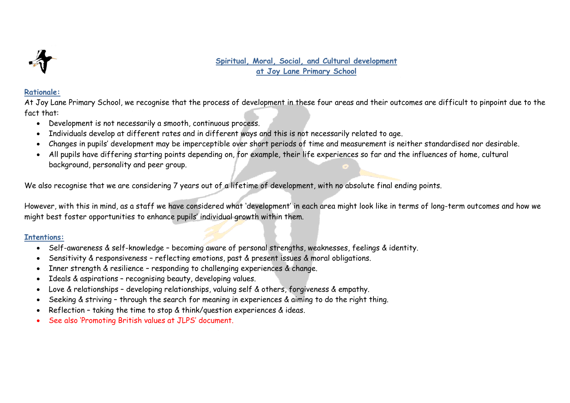

### **Spiritual, Moral, Social, and Cultural development at Joy Lane Primary School**

#### **Rationale:**

At Joy Lane Primary School, we recognise that the process of development in these four areas and their outcomes are difficult to pinpoint due to the fact that:

- Development is not necessarily a smooth, continuous process.
- Individuals develop at different rates and in different ways and this is not necessarily related to age.
- Changes in pupils' development may be imperceptible over short periods of time and measurement is neither standardised nor desirable.
- All pupils have differing starting points depending on, for example, their life experiences so far and the influences of home, cultural background, personality and peer group.

We also recognise that we are considering 7 years out of a lifetime of development, with no absolute final ending points.

However, with this in mind, as a staff we have considered what 'development' in each area might look like in terms of long-term outcomes and how we might best foster opportunities to enhance pupils' individual growth within them.

# **Intentions:**

- Self-awareness & self-knowledge becoming aware of personal strengths, weaknesses, feelings & identity.
- Sensitivity & responsiveness reflecting emotions, past & present issues & moral obligations.
- Inner strength & resilience responding to challenging experiences & change.
- Ideals & aspirations recognising beauty, developing values.
- Love & relationships developing relationships, valuing self & others, forgiveness & empathy.
- Seeking & striving through the search for meaning in experiences & aiming to do the right thing.
- Reflection taking the time to stop & think/question experiences & ideas.
- See also 'Promoting British values at JLPS' document.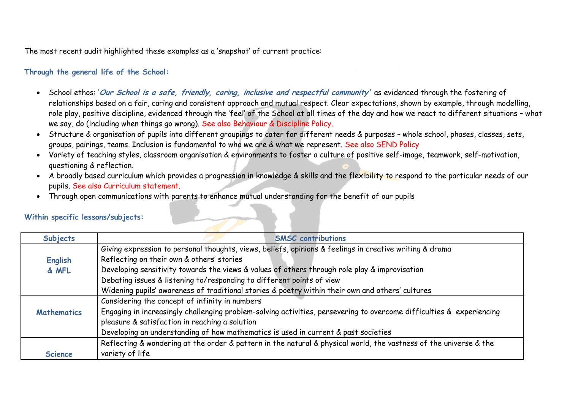The most recent audit highlighted these examples as a 'snapshot' of current practice:

## **Through the general life of the School:**

- School ethos: '**Our School is a safe, friendly, caring, inclusive and respectful community'** as evidenced through the fostering of relationships based on a fair, caring and consistent approach and mutual respect. Clear expectations, shown by example, through modelling, role play, positive discipline, evidenced through the 'feel' of the School at all times of the day and how we react to different situations – what we say, do (including when things go wrong). See also Behaviour & Discipline Policy.
- Structure & organisation of pupils into different groupings to cater for different needs & purposes whole school, phases, classes, sets, groups, pairings, teams. Inclusion is fundamental to who we are & what we represent. See also SEND Policy
- Variety of teaching styles, classroom organisation & environments to foster a culture of positive self-image, teamwork, self-motivation, questioning & reflection.
- A broadly based curriculum which provides a progression in knowledge & skills and the flexibility to respond to the particular needs of our pupils. See also Curriculum statement.
- Through open communications with parents to enhance mutual understanding for the benefit of our pupils

#### **Subjects SMSC contributions English & MFL** Giving expression to personal thoughts, views, beliefs, opinions & feelings in creative writing & drama Reflecting on their own & others' stories Developing sensitivity towards the views & values of others through role play & improvisation Debating issues & listening to/responding to different points of view Widening pupils' awareness of traditional stories & poetry within their own and others' cultures **Mathematics** Considering the concept of infinity in numbers Engaging in increasingly challenging problem-solving activities, persevering to overcome difficulties & experiencing pleasure & satisfaction in reaching a solution Developing an understanding of how mathematics is used in current & past societies **Science** Reflecting & wondering at the order & pattern in the natural & physical world, the vastness of the universe & the variety of life

#### **Within specific lessons/subjects:**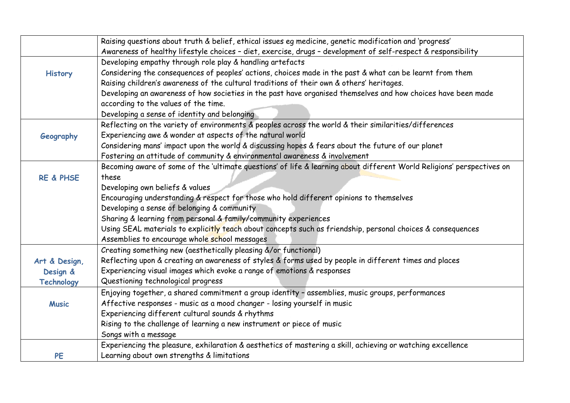|                      | Raising questions about truth & belief, ethical issues eg medicine, genetic modification and 'progress'                |
|----------------------|------------------------------------------------------------------------------------------------------------------------|
|                      | Awareness of healthy lifestyle choices - diet, exercise, drugs - development of self-respect & responsibility          |
|                      | Developing empathy through role play & handling artefacts                                                              |
| <b>History</b>       | Considering the consequences of peoples' actions, choices made in the past & what can be learnt from them              |
|                      | Raising children's awareness of the cultural traditions of their own & others' heritages.                              |
|                      | Developing an awareness of how societies in the past have organised themselves and how choices have been made          |
|                      | according to the values of the time.                                                                                   |
|                      | Developing a sense of identity and belonging                                                                           |
|                      | Reflecting on the variety of environments & peoples across the world & their similarities/differences                  |
| Geography            | Experiencing awe & wonder at aspects of the natural world                                                              |
|                      | Considering mans' impact upon the world & discussing hopes & fears about the future of our planet                      |
|                      | Fostering an attitude of community & environmental awareness & involvement                                             |
|                      | Becoming aware of some of the 'ultimate questions' of life & learning about different World Religions' perspectives on |
| <b>RE &amp; PHSE</b> | these                                                                                                                  |
|                      | Developing own beliefs & values                                                                                        |
|                      | Encouraging understanding & respect for those who hold different opinions to themselves                                |
|                      | Developing a sense of belonging & community                                                                            |
|                      | Sharing & learning from personal & family/community experiences                                                        |
|                      | Using SEAL materials to explicitly teach about concepts such as friendship, personal choices & consequences            |
|                      | Assemblies to encourage whole school messages                                                                          |
|                      | Creating something new (aesthetically pleasing &/or functional)                                                        |
| Art & Design,        | Reflecting upon & creating an awareness of styles & forms used by people in different times and places                 |
| Design &             | Experiencing visual images which evoke a range of emotions & responses                                                 |
| <b>Technology</b>    | Questioning technological progress                                                                                     |
|                      | Enjoying together, a shared commitment a group identity - assemblies, music groups, performances                       |
| <b>Music</b>         | Affective responses - music as a mood changer - losing yourself in music                                               |
|                      | Experiencing different cultural sounds & rhythms                                                                       |
|                      | Rising to the challenge of learning a new instrument or piece of music                                                 |
|                      | Songs with a message                                                                                                   |
|                      | Experiencing the pleasure, exhilaration & aesthetics of mastering a skill, achieving or watching excellence            |
| PE                   | Learning about own strengths & limitations                                                                             |